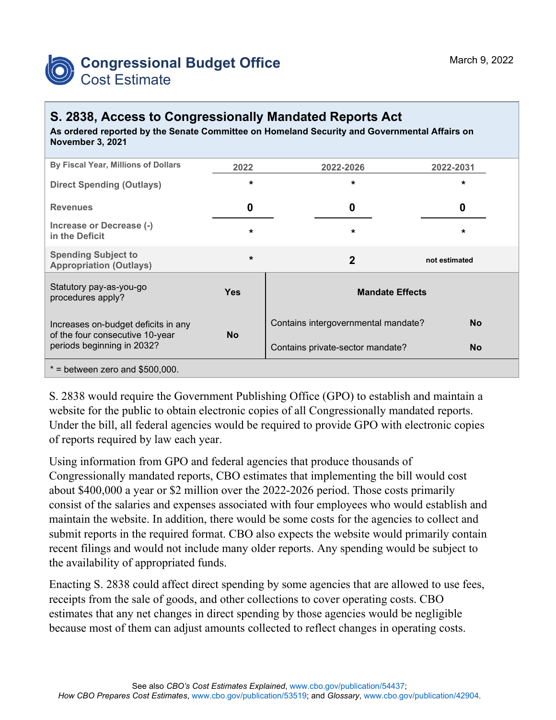

## **S. 2838, Access to Congressionally Mandated Reports Act**

**As ordered reported by the Senate Committee on Homeland Security and Governmental Affairs on November 3, 2021**

| By Fiscal Year, Millions of Dollars                                                                  | 2022       | 2022-2026                           | 2022-2031     |
|------------------------------------------------------------------------------------------------------|------------|-------------------------------------|---------------|
| <b>Direct Spending (Outlays)</b>                                                                     | $\star$    | $\star$                             | $\star$       |
| <b>Revenues</b>                                                                                      | 0          | 0                                   | 0             |
| Increase or Decrease (-)<br>in the Deficit                                                           | $\star$    | $\star$                             | *             |
| <b>Spending Subject to</b><br><b>Appropriation (Outlays)</b>                                         | $\star$    | $\overline{2}$                      | not estimated |
| Statutory pay-as-you-go<br>procedures apply?                                                         | <b>Yes</b> | <b>Mandate Effects</b>              |               |
| Increases on-budget deficits in any<br>of the four consecutive 10-year<br>periods beginning in 2032? | <b>No</b>  | Contains intergovernmental mandate? | <b>No</b>     |
|                                                                                                      |            | Contains private-sector mandate?    | <b>No</b>     |
| $*$ = between zero and \$500,000.                                                                    |            |                                     |               |

S. 2838 would require the Government Publishing Office (GPO) to establish and maintain a website for the public to obtain electronic copies of all Congressionally mandated reports. Under the bill, all federal agencies would be required to provide GPO with electronic copies of reports required by law each year.

Using information from GPO and federal agencies that produce thousands of Congressionally mandated reports, CBO estimates that implementing the bill would cost about \$400,000 a year or \$2 million over the 2022-2026 period. Those costs primarily consist of the salaries and expenses associated with four employees who would establish and maintain the website. In addition, there would be some costs for the agencies to collect and submit reports in the required format. CBO also expects the website would primarily contain recent filings and would not include many older reports. Any spending would be subject to the availability of appropriated funds.

Enacting S. 2838 could affect direct spending by some agencies that are allowed to use fees, receipts from the sale of goods, and other collections to cover operating costs. CBO estimates that any net changes in direct spending by those agencies would be negligible because most of them can adjust amounts collected to reflect changes in operating costs.